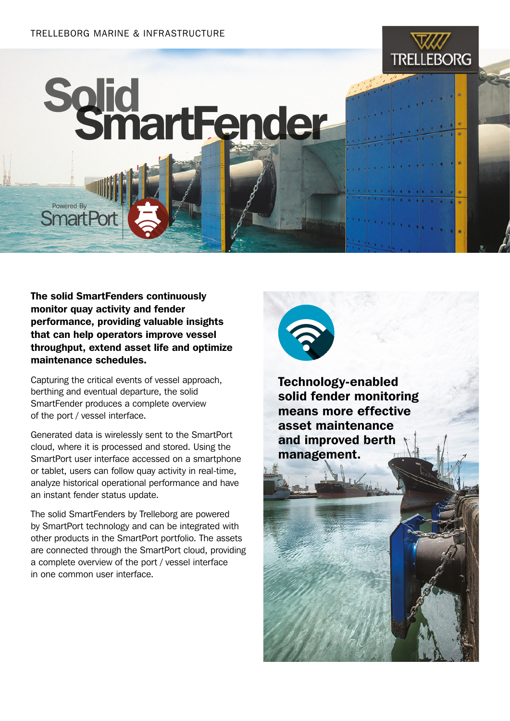#### TRELLEBORG MARINE & INFRASTRUCTURE

### **TRELLEBORG**

# Solid SmartFender

The solid SmartFenders continuously monitor quay activity and fender performance, providing valuable insights that can help operators improve vessel throughput, extend asset life and optimize maintenance schedules.

Powered By **SmartPo** 

Capturing the critical events of vessel approach, berthing and eventual departure, the solid SmartFender produces a complete overview of the port / vessel interface.

Generated data is wirelessly sent to the SmartPort cloud, where it is processed and stored. Using the SmartPort user interface accessed on a smartphone or tablet, users can follow quay activity in real-time, analyze historical operational performance and have an instant fender status update.

The solid SmartFenders by Trelleborg are powered by SmartPort technology and can be integrated with other products in the SmartPort portfolio. The assets are connected through the SmartPort cloud, providing a complete overview of the port / vessel interface in one common user interface.



Technology-enabled solid fender monitoring means more effective asset maintenance and improved berth management.